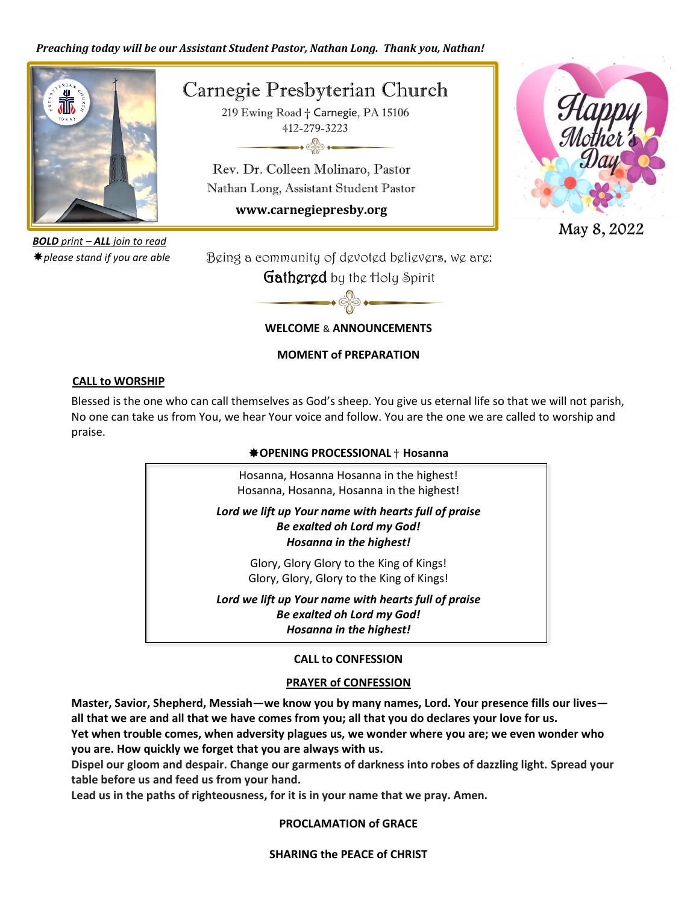*Preaching today will be our Assistant Student Pastor, Nathan Long. Thank you, Nathan!*



Carnegie Presbyterian Church 219 Ewing Road † Carnegie, PA 15106 412-279-3223  $\bullet$ 

Rev. Dr. Colleen Molinaro, Pastor Nathan Long, Assistant Student Pastor

**www.carnegiepresby.org**

*BOLD print – ALL join to read please stand if you are able*

Being a community of devoted believers, we are:

l

May 8, 2022

Gathered by the Holy Spirit

 $\longrightarrow$ 

**WELCOME** & **ANNOUNCEMENTS**

**MOMENT of PREPARATION**

## **CALL to WORSHIP**

Blessed is the one who can call themselves as God's sheep. You give us eternal life so that we will not parish, No one can take us from You, we hear Your voice and follow. You are the one we are called to worship and praise.

## **OPENING PROCESSIONAL** † **Hosanna**

Hosanna, Hosanna Hosanna in the highest! Hosanna, Hosanna, Hosanna in the highest!

*Lord we lift up Your name with hearts full of praise Be exalted oh Lord my God! Hosanna in the highest!*

> Glory, Glory Glory to the King of Kings! Glory, Glory, Glory to the King of Kings!

*Lord we lift up Your name with hearts full of praise Be exalted oh Lord my God! Hosanna in the highest!*

## **CALL to CONFESSION**

## **PRAYER of CONFESSION**

**Master, Savior, Shepherd, Messiah—we know you by many names, Lord. Your presence fills our lives all that we are and all that we have comes from you; all that you do declares your love for us. Yet when trouble comes, when adversity plagues us, we wonder where you are; we even wonder who** 

**you are. How quickly we forget that you are always with us.**

**Dispel our gloom and despair. Change our garments of darkness into robes of dazzling light. Spread your table before us and feed us from your hand.**

**Lead us in the paths of righteousness, for it is in your name that we pray. Amen.**

**PROCLAMATION of GRACE**

**SHARING the PEACE of CHRIST**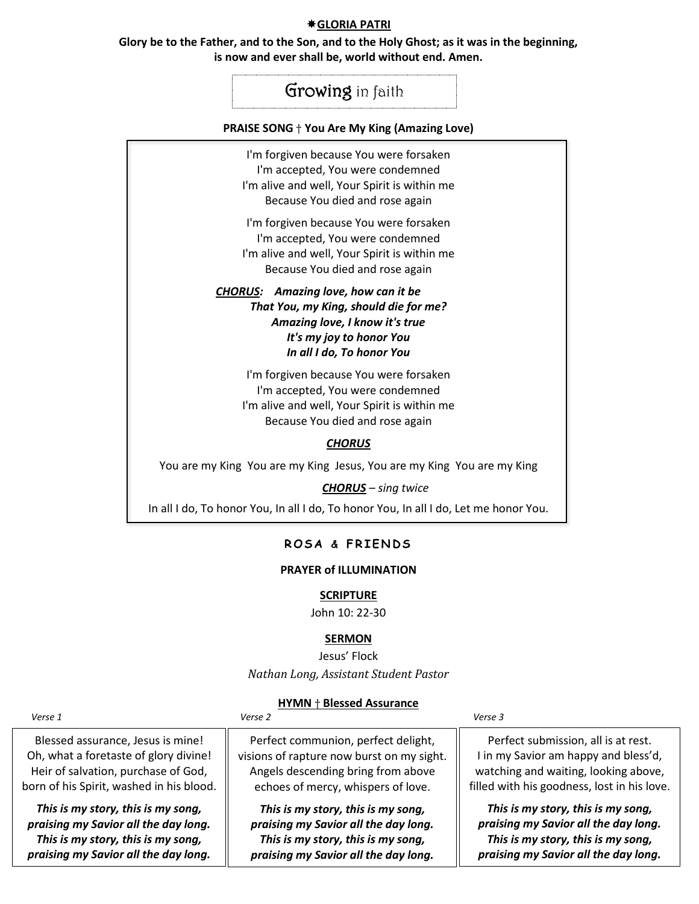#### **GLORIA PATRI**

## **Glory be to the Father, and to the Son, and to the Holy Ghost; as it was in the beginning, is now and ever shall be, world without end. Amen.**

## Growing in faith

#### **PRAISE SONG** † **You Are My King (Amazing Love)**

I'm forgiven because You were forsaken I'm accepted, You were condemned I'm alive and well, Your Spirit is within me Because You died and rose again

I'm forgiven because You were forsaken I'm accepted, You were condemned I'm alive and well, Your Spirit is within me Because You died and rose again

 *CHORUS: Amazing love, how can it be That You, my King, should die for me? Amazing love, I know it's true It's my joy to honor You In all I do, To honor You*

> I'm forgiven because You were forsaken I'm accepted, You were condemned I'm alive and well, Your Spirit is within me Because You died and rose again

## *CHORUS*

You are my King You are my King Jesus, You are my King You are my King

 *CHORUS – sing twice*

In all I do, To honor You, In all I do, To honor You, In all I do, Let me honor You.

## **R O S A & F R I E N D S**

#### **PRAYER of ILLUMINATION**

**SCRIPTURE**

John 10: 22-30

#### **SERMON**

Jesus' Flock *Nathan Long, Assistant Student Pastor*

| Verse 1                                  | <b>HYMN</b> † Blessed Assurance<br>Verse 2 | Verse 3                                     |
|------------------------------------------|--------------------------------------------|---------------------------------------------|
| Blessed assurance, Jesus is mine!        | Perfect communion, perfect delight,        | Perfect submission, all is at rest.         |
| Oh, what a foretaste of glory divine!    | visions of rapture now burst on my sight.  | I in my Savior am happy and bless'd,        |
| Heir of salvation, purchase of God,      | Angels descending bring from above         | watching and waiting, looking above,        |
| born of his Spirit, washed in his blood. | echoes of mercy, whispers of love.         | filled with his goodness, lost in his love. |
| This is my story, this is my song,       | This is my story, this is my song,         | This is my story, this is my song,          |
| praising my Savior all the day long.     | praising my Savior all the day long.       | praising my Savior all the day long.        |
| This is my story, this is my song,       | This is my story, this is my song,         | This is my story, this is my song,          |

*praising my Savior all the day long.*

*praising my Savior all the day long.*

**HYMN** † **Blessed Assurance**

*praising my Savior all the day long.*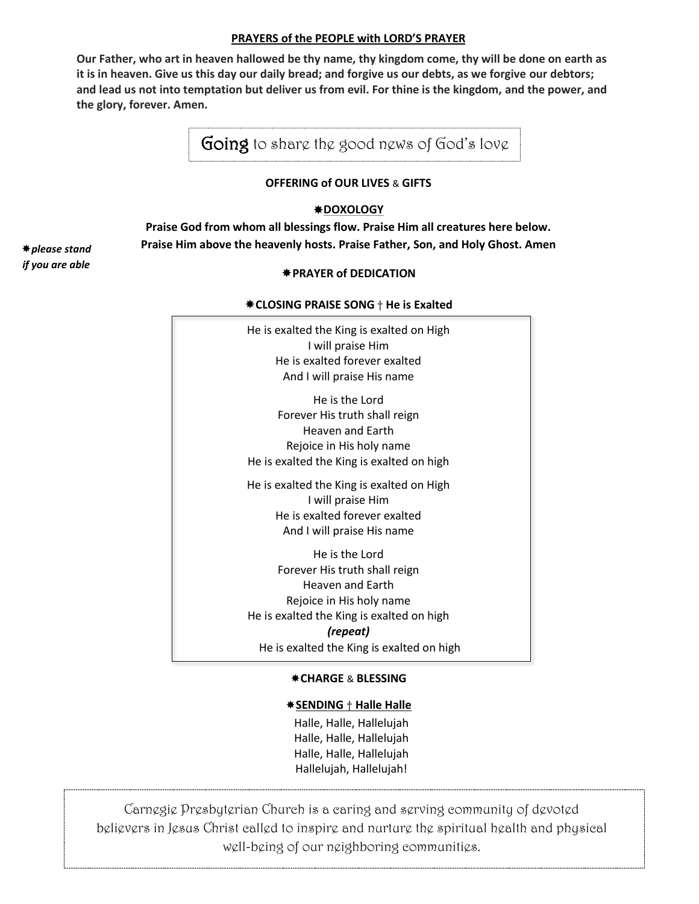## **PRAYERS of the PEOPLE with LORD'S PRAYER**

**Our Father, who art in heaven hallowed be thy name, thy kingdom come, thy will be done on earth as it is in heaven. Give us this day our daily bread; and forgive us our debts, as we forgive our debtors; and lead us not into temptation but deliver us from evil. For thine is the kingdom, and the power, and the glory, forever. Amen.**



## **OFFERING of OUR LIVES** & **GIFTS**

## **DOXOLOGY**

**Praise God from whom all blessings flow. Praise Him all creatures here below. Praise Him above the heavenly hosts. Praise Father, Son, and Holy Ghost. Amen**

## **PRAYER of DEDICATION**

## **CLOSING PRAISE SONG** † **He is Exalted**

| He is exalted the King is exalted on High<br>I will praise Him<br>He is exalted forever exalted<br>And I will praise His name                            |
|----------------------------------------------------------------------------------------------------------------------------------------------------------|
| He is the Lord<br>Forever His truth shall reign<br>Heaven and Farth<br>Rejoice in His holy name<br>He is exalted the King is exalted on high             |
| He is exalted the King is exalted on High<br>I will praise Him<br>He is exalted forever exalted<br>And I will praise His name                            |
| He is the Lord<br>Forever His truth shall reign<br>Heaven and Farth<br>Rejoice in His holy name<br>He is exalted the King is exalted on high<br>(repeat) |
| He is exalted the King is exalted on high                                                                                                                |

## **CHARGE** & **BLESSING**

#### **SENDING** † **Halle Halle**

 Halle, Halle, Hallelujah Halle, Halle, Hallelujah Halle, Halle, Hallelujah Hallelujah, Hallelujah!

Carnegie Presbyterian Church is a caring and serving community of devoted believers in Jesus Christ called to inspire and nurture the spiritual health and physical well-being of our neighboring communities.

*please stand if you are able*